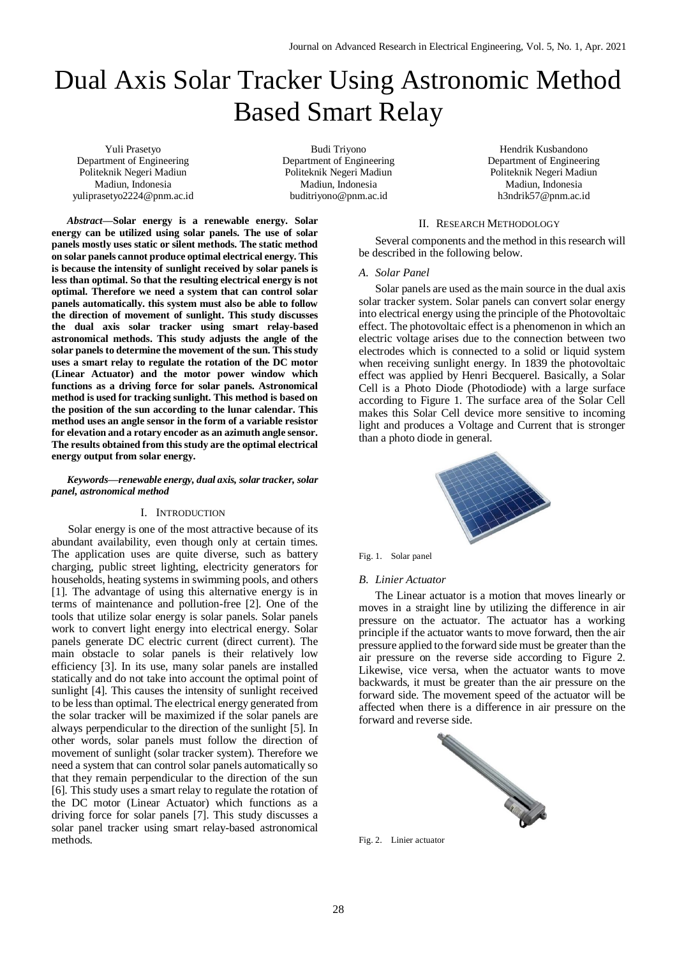# Dual Axis Solar Tracker Using Astronomic Method Based Smart Relay

Yuli Prasetyo Department of Engineering Politeknik Negeri Madiun Madiun, Indonesia yuliprasetyo2224@pnm.ac.id

Budi Triyono Department of Engineering Politeknik Negeri Madiun Madiun, Indonesia buditriyono@pnm.ac.id

Hendrik Kusbandono Department of Engineering Politeknik Negeri Madiun Madiun, Indonesia h3ndrik57@pnm.ac.id

### II. RESEARCH METHODOLOGY

Several components and the method in this research will be described in the following below.

#### *A. Solar Panel*

Solar panels are used as the main source in the dual axis solar tracker system. Solar panels can convert solar energy into electrical energy using the principle of the Photovoltaic effect. The photovoltaic effect is a phenomenon in which an electric voltage arises due to the connection between two electrodes which is connected to a solid or liquid system when receiving sunlight energy. In 1839 the photovoltaic effect was applied by Henri Becquerel. Basically, a Solar Cell is a Photo Diode (Photodiode) with a large surface according to Figure 1. The surface area of the Solar Cell makes this Solar Cell device more sensitive to incoming light and produces a Voltage and Current that is stronger than a photo diode in general.



### Fig. 1. Solar panel

## *B. Linier Actuator*

The Linear actuator is a motion that moves linearly or moves in a straight line by utilizing the difference in air pressure on the actuator. The actuator has a working principle if the actuator wants to move forward, then the air pressure applied to the forward side must be greater than the air pressure on the reverse side according to Figure 2. Likewise, vice versa, when the actuator wants to move backwards, it must be greater than the air pressure on the forward side. The movement speed of the actuator will be affected when there is a difference in air pressure on the forward and reverse side.



Fig. 2. Linier actuator

*Abstract***—Solar energy is a renewable energy. Solar energy can be utilized using solar panels. The use of solar panels mostly uses static or silent methods. The static method on solar panels cannot produce optimal electrical energy. This is because the intensity of sunlight received by solar panels is less than optimal. So that the resulting electrical energy is not optimal. Therefore we need a system that can control solar panels automatically. this system must also be able to follow the direction of movement of sunlight. This study discusses the dual axis solar tracker using smart relay-based astronomical methods. This study adjusts the angle of the solar panels to determine the movement of the sun. This study uses a smart relay to regulate the rotation of the DC motor (Linear Actuator) and the motor power window which functions as a driving force for solar panels. Astronomical method is used for tracking sunlight. This method is based on the position of the sun according to the lunar calendar. This method uses an angle sensor in the form of a variable resistor for elevation and a rotary encoder as an azimuth angle sensor. The results obtained from this study are the optimal electrical energy output from solar energy.**

## *Keywords—renewable energy, dual axis, solar tracker, solar panel, astronomical method*

#### I. INTRODUCTION

Solar energy is one of the most attractive because of its abundant availability, even though only at certain times. The application uses are quite diverse, such as battery charging, public street lighting, electricity generators for households, heating systems in swimming pools, and others [1]. The advantage of using this alternative energy is in terms of maintenance and pollution-free [2]. One of the tools that utilize solar energy is solar panels. Solar panels work to convert light energy into electrical energy. Solar panels generate DC electric current (direct current). The main obstacle to solar panels is their relatively low efficiency [3]. In its use, many solar panels are installed statically and do not take into account the optimal point of sunlight [4]. This causes the intensity of sunlight received to be less than optimal. The electrical energy generated from the solar tracker will be maximized if the solar panels are always perpendicular to the direction of the sunlight [5]. In other words, solar panels must follow the direction of movement of sunlight (solar tracker system). Therefore we need a system that can control solar panels automatically so that they remain perpendicular to the direction of the sun [6]. This study uses a smart relay to regulate the rotation of the DC motor (Linear Actuator) which functions as a driving force for solar panels [7]. This study discusses a solar panel tracker using smart relay-based astronomical methods.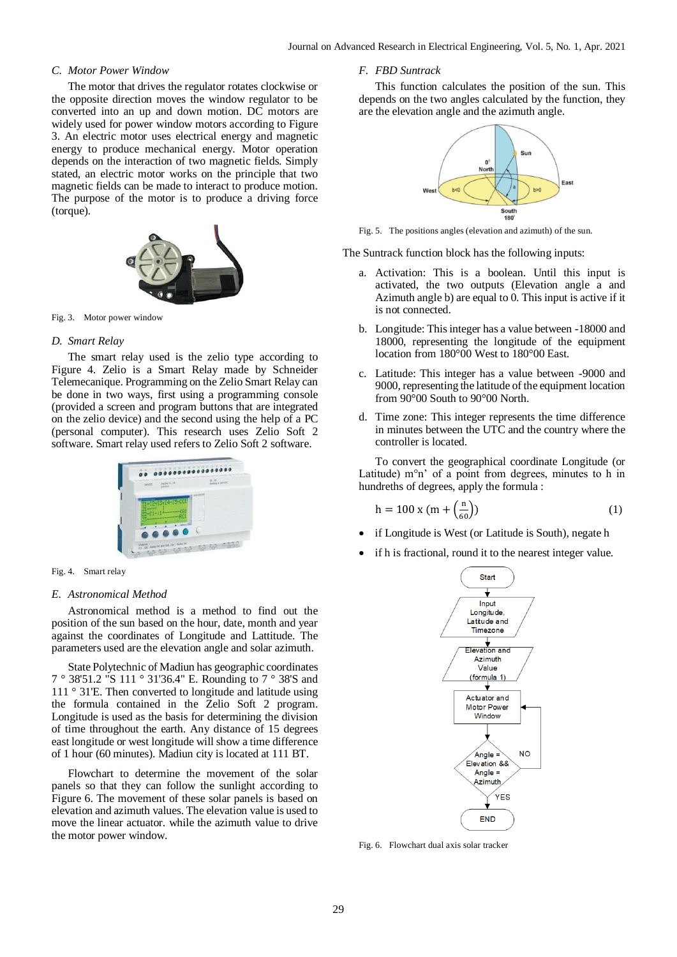# *C. Motor Power Window*

The motor that drives the regulator rotates clockwise or the opposite direction moves the window regulator to be converted into an up and down motion. DC motors are widely used for power window motors according to Figure 3. An electric motor uses electrical energy and magnetic energy to produce mechanical energy. Motor operation depends on the interaction of two magnetic fields. Simply stated, an electric motor works on the principle that two magnetic fields can be made to interact to produce motion. The purpose of the motor is to produce a driving force (torque).



Fig. 3. Motor power window

## *D. Smart Relay*

The smart relay used is the zelio type according to Figure 4. Zelio is a Smart Relay made by Schneider Telemecanique. Programming on the Zelio Smart Relay can be done in two ways, first using a programming console (provided a screen and program buttons that are integrated on the zelio device) and the second using the help of a PC (personal computer). This research uses Zelio Soft 2 software. Smart relay used refers to Zelio Soft 2 software.





#### *E. Astronomical Method*

Astronomical method is a method to find out the position of the sun based on the hour, date, month and year against the coordinates of Longitude and Lattitude. The parameters used are the elevation angle and solar azimuth.

State Polytechnic of Madiun has geographic coordinates 7 ° 38'51.2 "S 111 ° 31'36.4" E. Rounding to 7 ° 38'S and 111 ° 31'E. Then converted to longitude and latitude using the formula contained in the Zelio Soft 2 program. Longitude is used as the basis for determining the division of time throughout the earth. Any distance of 15 degrees east longitude or west longitude will show a time difference of 1 hour (60 minutes). Madiun city is located at 111 BT.

Flowchart to determine the movement of the solar panels so that they can follow the sunlight according to Figure 6. The movement of these solar panels is based on elevation and azimuth values. The elevation value is used to move the linear actuator. while the azimuth value to drive the motor power window.

## *F. FBD Suntrack*

This function calculates the position of the sun. This depends on the two angles calculated by the function, they are the elevation angle and the azimuth angle.



Fig. 5. The positions angles (elevation and azimuth) of the sun.

The Suntrack function block has the following inputs:

- a. Activation: This is a boolean. Until this input is activated, the two outputs (Elevation angle a and Azimuth angle b) are equal to 0. This input is active if it is not connected.
- b. Longitude: This integer has a value between -18000 and 18000, representing the longitude of the equipment location from 180°00 West to 180°00 East.
- c. Latitude: This integer has a value between -9000 and 9000, representing the latitude of the equipment location from 90°00 South to 90°00 North.
- d. Time zone: This integer represents the time difference in minutes between the UTC and the country where the controller is located.

To convert the geographical coordinate Longitude (or Latitude) m°n' of a point from degrees, minutes to h in hundreths of degrees, apply the formula :

$$
h = 100 x (m + \left(\frac{n}{60}\right))
$$
 (1)

- if Longitude is West (or Latitude is South), negate h
- if h is fractional, round it to the nearest integer value.



Fig. 6. Flowchart dual axis solar tracker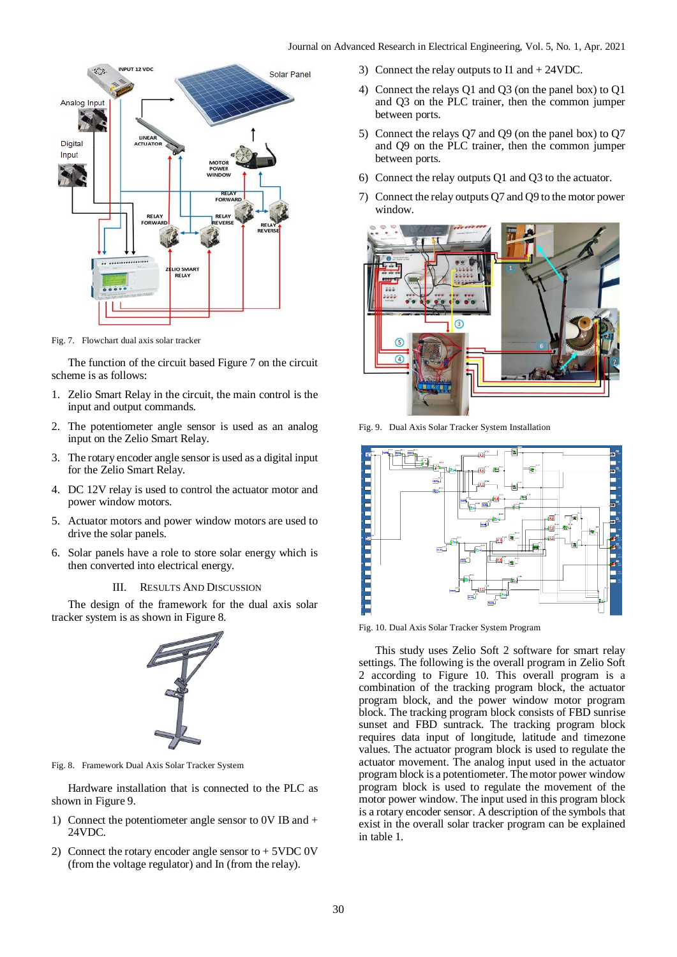

Fig. 7. Flowchart dual axis solar tracker

The function of the circuit based Figure 7 on the circuit scheme is as follows:

- 1. Zelio Smart Relay in the circuit, the main control is the input and output commands.
- 2. The potentiometer angle sensor is used as an analog input on the Zelio Smart Relay.
- 3. The rotary encoder angle sensor is used as a digital input for the Zelio Smart Relay.
- 4. DC 12V relay is used to control the actuator motor and power window motors.
- 5. Actuator motors and power window motors are used to drive the solar panels.
- 6. Solar panels have a role to store solar energy which is then converted into electrical energy.

### III. RESULTS AND DISCUSSION

The design of the framework for the dual axis solar tracker system is as shown in Figure 8.



Fig. 8. Framework Dual Axis Solar Tracker System

Hardware installation that is connected to the PLC as shown in Figure 9.

- 1) Connect the potentiometer angle sensor to 0V IB and + 24VDC.
- 2) Connect the rotary encoder angle sensor to  $+5VDC$  0V (from the voltage regulator) and In (from the relay).
- 3) Connect the relay outputs to I1 and + 24VDC.
- 4) Connect the relays Q1 and Q3 (on the panel box) to Q1 and Q3 on the PLC trainer, then the common jumper between ports.
- 5) Connect the relays Q7 and Q9 (on the panel box) to Q7 and Q9 on the PLC trainer, then the common jumper between ports.
- 6) Connect the relay outputs Q1 and Q3 to the actuator.
- 7) Connect the relay outputs Q7 and Q9 to the motor power window.



Fig. 9. Dual Axis Solar Tracker System Installation



Fig. 10. Dual Axis Solar Tracker System Program

This study uses Zelio Soft 2 software for smart relay settings. The following is the overall program in Zelio Soft 2 according to Figure 10. This overall program is a combination of the tracking program block, the actuator program block, and the power window motor program block. The tracking program block consists of FBD sunrise sunset and FBD suntrack. The tracking program block requires data input of longitude, latitude and timezone values. The actuator program block is used to regulate the actuator movement. The analog input used in the actuator program block is a potentiometer. The motor power window program block is used to regulate the movement of the motor power window. The input used in this program block is a rotary encoder sensor. A description of the symbols that exist in the overall solar tracker program can be explained in table 1.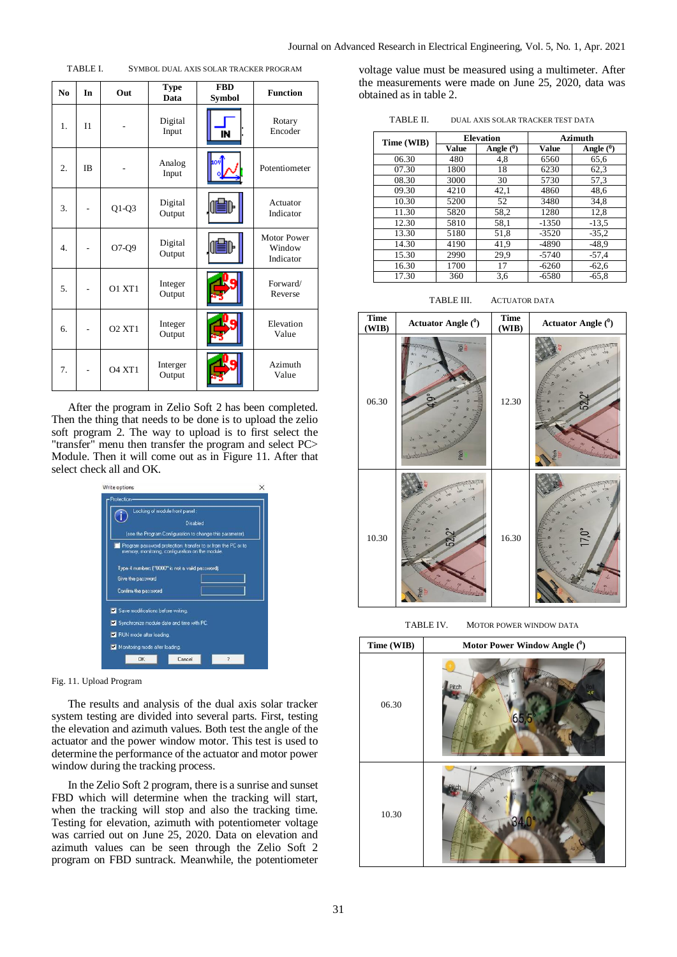TABLE I. SYMBOL DUAL AXIS SOLAR TRACKER PROGRAM

| N <sub>0</sub> | In        | Out           | <b>Type</b><br>Data | <b>FBD</b><br>Symbol | <b>Function</b>                           |
|----------------|-----------|---------------|---------------------|----------------------|-------------------------------------------|
| 1.             | $_{11}$   |               | Digital<br>Input    | IN                   | Rotary<br>Encoder                         |
| 2.             | <b>IB</b> |               | Analog<br>Input     |                      | Potentiometer                             |
| 3.             |           | $Q1-Q3$       | Digital<br>Output   |                      | Actuator<br>Indicator                     |
| 4.             |           | O7-Q9         | Digital<br>Output   |                      | <b>Motor Power</b><br>Window<br>Indicator |
| 5.             |           | <b>O1 XT1</b> | Integer<br>Output   |                      | Forward/<br>Reverse                       |
| 6.             |           | O2 XT1        | Integer<br>Output   |                      | Elevation<br>Value                        |
| 7.             |           | <b>O4 XT1</b> | Interger<br>Output  |                      | Azimuth<br>Value                          |

After the program in Zelio Soft 2 has been completed. Then the thing that needs to be done is to upload the zelio soft program 2. The way to upload is to first select the "transfer" menu then transfer the program and select PC> Module. Then it will come out as in Figure 11. After that select check all and OK.



Fig. 11. Upload Program

The results and analysis of the dual axis solar tracker system testing are divided into several parts. First, testing the elevation and azimuth values. Both test the angle of the actuator and the power window motor. This test is used to determine the performance of the actuator and motor power window during the tracking process.

In the Zelio Soft 2 program, there is a sunrise and sunset FBD which will determine when the tracking will start, when the tracking will stop and also the tracking time. Testing for elevation, azimuth with potentiometer voltage was carried out on June 25, 2020. Data on elevation and azimuth values can be seen through the Zelio Soft 2 program on FBD suntrack. Meanwhile, the potentiometer

voltage value must be measured using a multimeter. After the measurements were made on June 25, 2020, data was obtained as in table 2.

| TABLE II. | DUAL AXIS SOLAR TRACKER TEST DATA |  |  |
|-----------|-----------------------------------|--|--|
|-----------|-----------------------------------|--|--|

| Time (WIB) | <b>Elevation</b> |             | <b>Azimuth</b> |             |
|------------|------------------|-------------|----------------|-------------|
|            | Value            | Angle $(0)$ | Value          | Angle $(0)$ |
| 06.30      | 480              | 4,8         | 6560           | 65.6        |
| 07.30      | 1800             | 18          | 6230           | 62,3        |
| 08.30      | 3000             | 30          | 5730           | 57,3        |
| 09.30      | 4210             | 42,1        | 4860           | 48,6        |
| 10.30      | 5200             | 52          | 3480           | 34.8        |
| 11.30      | 5820             | 58,2        | 1280           | 12,8        |
| 12.30      | 5810             | 58.1        | $-1350$        | $-13.5$     |
| 13.30      | 5180             | 51,8        | $-3520$        | $-35,2$     |
| 14.30      | 4190             | 41,9        | -4890          | $-48.9$     |
| 15.30      | 2990             | 29,9        | $-5740$        | $-57.4$     |
| 16.30      | 1700             | 17          | $-6260$        | $-62,6$     |
| 17.30      | 360              | 3,6         | $-6580$        | $-65.8$     |

TABLE III. ACTUATOR DATA



TABLE IV. MOTOR POWER WINDOW DATA

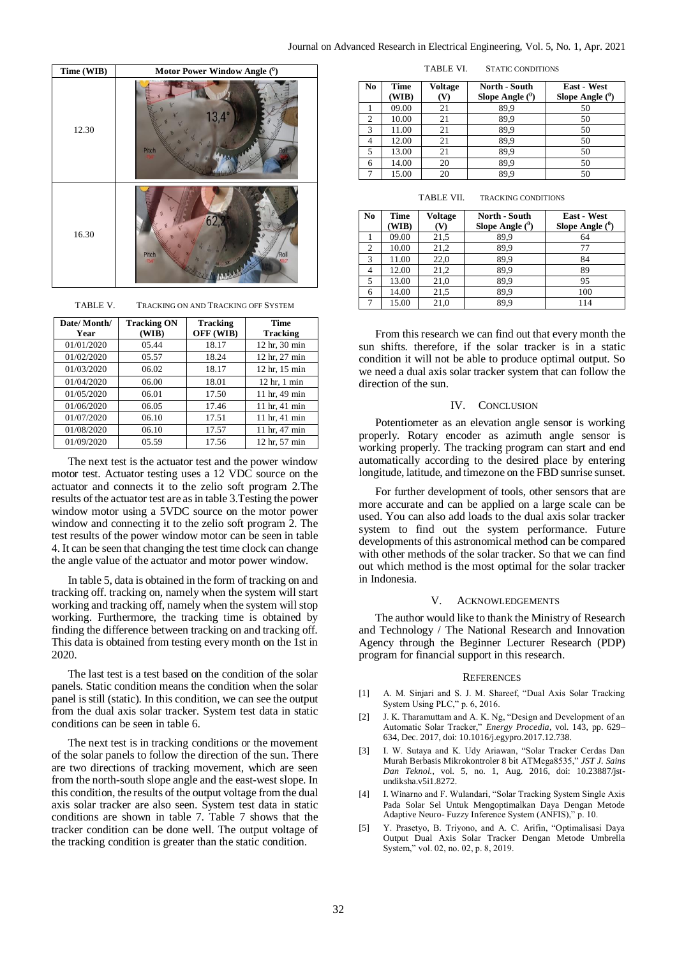| Time (WIB) |       | Motor Power Window Angle ( <sup>0</sup> ) |
|------------|-------|-------------------------------------------|
|            | 12.30 | $13,4^\circ$<br>Roll<br>Pitch<br>m        |
|            | 16.30 | 62<br>Pitch<br>76,6<br>Roll<br>900        |

TABLE V. TRACKING ON AND TRACKING OFF SYSTEM

| Date/Month/<br>Year | <b>Tracking ON</b><br>(WIB) | <b>Tracking</b><br>OFF (WIB) | Time<br>Tracking |
|---------------------|-----------------------------|------------------------------|------------------|
| 01/01/2020          | 05.44                       | 18.17                        | 12 hr, 30 min    |
| 01/02/2020          | 05.57                       | 18.24                        | 12 hr, 27 min    |
| 01/03/2020          | 06.02                       | 18.17                        | 12 hr, 15 min    |
| 01/04/2020          | 06.00                       | 18.01                        | $12$ hr, $1$ min |
| 01/05/2020          | 06.01                       | 17.50                        | 11 hr, 49 min    |
| 01/06/2020          | 06.05                       | 17.46                        | 11 hr, 41 min    |
| 01/07/2020          | 06.10                       | 17.51                        | 11 hr, 41 min    |
| 01/08/2020          | 06.10                       | 17.57                        | 11 hr, 47 min    |
| 01/09/2020          | 05.59                       | 17.56                        | 12 hr, 57 min    |

The next test is the actuator test and the power window motor test. Actuator testing uses a 12 VDC source on the actuator and connects it to the zelio soft program 2.The results of the actuator test are as in table 3.Testing the power window motor using a 5VDC source on the motor power window and connecting it to the zelio soft program 2. The test results of the power window motor can be seen in table 4. It can be seen that changing the test time clock can change the angle value of the actuator and motor power window.

In table 5, data is obtained in the form of tracking on and tracking off. tracking on, namely when the system will start working and tracking off, namely when the system will stop working. Furthermore, the tracking time is obtained by finding the difference between tracking on and tracking off. This data is obtained from testing every month on the 1st in 2020.

The last test is a test based on the condition of the solar panels. Static condition means the condition when the solar panel is still (static). In this condition, we can see the output from the dual axis solar tracker. System test data in static conditions can be seen in table 6.

The next test is in tracking conditions or the movement of the solar panels to follow the direction of the sun. There are two directions of tracking movement, which are seen from the north-south slope angle and the east-west slope. In this condition, the results of the output voltage from the dual axis solar tracker are also seen. System test data in static conditions are shown in table 7. Table 7 shows that the tracker condition can be done well. The output voltage of the tracking condition is greater than the static condition.

TABLE VI. STATIC CONDITIONS

| No | Time<br>(WIB) | <b>Voltage</b> | <b>North - South</b><br>Slope Angle $(°)$ | <b>East</b> - West<br>Slope Angle $(0)$ |
|----|---------------|----------------|-------------------------------------------|-----------------------------------------|
|    | 09.00         | 21             | 89,9                                      | 50                                      |
| 2  | 10.00         | 21             | 89,9                                      | 50                                      |
| 3  | 11.00         | 21             | 89,9                                      | 50                                      |
|    | 12.00         | 21             | 89.9                                      | 50                                      |
|    | 13.00         | 21             | 89,9                                      | 50                                      |
| 6  | 14.00         | 20             | 89,9                                      | 50                                      |
|    | 15.00         | 20             | 89.9                                      |                                         |

TABLE VII. TRACKING CONDITIONS

| N <sub>0</sub> | Time<br>(WIB) | <b>Voltage</b><br>(V) | <b>North - South</b><br>Slope Angle $(°)$ | <b>East - West</b><br>Slope Angle $(°)$ |
|----------------|---------------|-----------------------|-------------------------------------------|-----------------------------------------|
|                | 09.00         | 21,5                  | 89.9                                      | 64                                      |
| 2              | 10.00         | 21,2                  | 89,9                                      | 77                                      |
| 3              | 11.00         | 22,0                  | 89,9                                      | 84                                      |
| $\overline{4}$ | 12.00         | 21,2                  | 89,9                                      | 89                                      |
| 5              | 13.00         | 21,0                  | 89.9                                      | 95                                      |
| 6              | 14.00         | 21,5                  | 89,9                                      | 100                                     |
|                | 15.00         | 21,0                  | 89,9                                      | 114                                     |

From this research we can find out that every month the sun shifts. therefore, if the solar tracker is in a static condition it will not be able to produce optimal output. So we need a dual axis solar tracker system that can follow the direction of the sun.

# IV. CONCLUSION

Potentiometer as an elevation angle sensor is working properly. Rotary encoder as azimuth angle sensor is working properly. The tracking program can start and end automatically according to the desired place by entering longitude, latitude, and timezone on the FBD sunrise sunset.

For further development of tools, other sensors that are more accurate and can be applied on a large scale can be used. You can also add loads to the dual axis solar tracker system to find out the system performance. Future developments of this astronomical method can be compared with other methods of the solar tracker. So that we can find out which method is the most optimal for the solar tracker in Indonesia.

#### V. ACKNOWLEDGEMENTS

The author would like to thank the Ministry of Research and Technology / The National Research and Innovation Agency through the Beginner Lecturer Research (PDP) program for financial support in this research.

#### **REFERENCES**

- [1] A. M. Sinjari and S. J. M. Shareef, "Dual Axis Solar Tracking System Using PLC," p. 6, 2016.
- [2] J. K. Tharamuttam and A. K. Ng, "Design and Development of an Automatic Solar Tracker," *Energy Procedia*, vol. 143, pp. 629– 634, Dec. 2017, doi: 10.1016/j.egypro.2017.12.738.
- [3] I. W. Sutaya and K. Udy Ariawan, "Solar Tracker Cerdas Dan Murah Berbasis Mikrokontroler 8 bit ATMega8535," *JST J. Sains Dan Teknol.*, vol. 5, no. 1, Aug. 2016, doi: 10.23887/jstundiksha.v5i1.8272.
- [4] I. Winarno and F. Wulandari, "Solar Tracking System Single Axis Pada Solar Sel Untuk Mengoptimalkan Daya Dengan Metode Adaptive Neuro- Fuzzy Inference System (ANFIS)," p. 10.
- [5] Y. Prasetyo, B. Triyono, and A. C. Arifin, "Optimalisasi Daya Output Dual Axis Solar Tracker Dengan Metode Umbrella System," vol. 02, no. 02, p. 8, 2019.